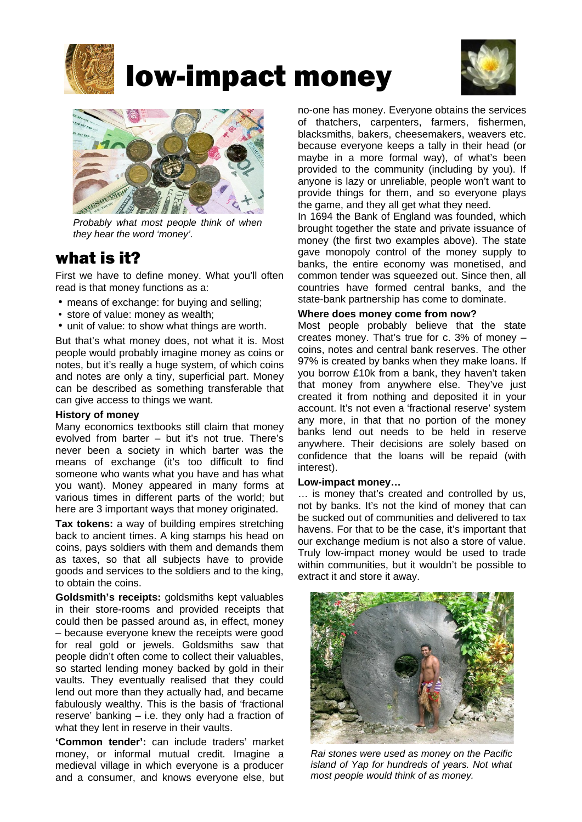

# low-impact money





*Probably what most people think of when they hear the word 'money'.* 

## what is it?

First we have to define money. What you'll often read is that money functions as a:

- means of exchange: for buying and selling;
- store of value: money as wealth;
- unit of value: to show what things are worth.

But that's what money does, not what it is. Most people would probably imagine money as coins or notes, but it's really a huge system, of which coins and notes are only a tiny, superficial part. Money can be described as something transferable that can give access to things we want.

#### **History of money**

Many economics textbooks still claim that money evolved from barter – but it's not true. There's never been a society in which barter was the means of exchange (it's too difficult to find someone who wants what you have and has what you want). Money appeared in many forms at various times in different parts of the world; but here are 3 important ways that money originated.

**Tax tokens:** a way of building empires stretching back to ancient times. A king stamps his head on coins, pays soldiers with them and demands them as taxes, so that all subjects have to provide goods and services to the soldiers and to the king, to obtain the coins.

**Goldsmith's receipts:** goldsmiths kept valuables in their store-rooms and provided receipts that could then be passed around as, in effect, money – because everyone knew the receipts were good for real gold or jewels. Goldsmiths saw that people didn't often come to collect their valuables, so started lending money backed by gold in their vaults. They eventually realised that they could lend out more than they actually had, and became fabulously wealthy. This is the basis of 'fractional reserve' banking – i.e. they only had a fraction of what they lent in reserve in their vaults.

**'Common tender':** can include traders' market money, or informal mutual credit. Imagine a medieval village in which everyone is a producer and a consumer, and knows everyone else, but no-one has money. Everyone obtains the services of thatchers, carpenters, farmers, fishermen, blacksmiths, bakers, cheesemakers, weavers etc. because everyone keeps a tally in their head (or maybe in a more formal way), of what's been provided to the community (including by you). If anyone is lazy or unreliable, people won't want to provide things for them, and so everyone plays the game, and they all get what they need.

In 1694 the Bank of England was founded, which brought together the state and private issuance of money (the first two examples above). The state gave monopoly control of the money supply to banks, the entire economy was monetised, and common tender was squeezed out. Since then, all countries have formed central banks, and the state-bank partnership has come to dominate.

#### **Where does money come from now?**

Most people probably believe that the state creates money. That's true for c. 3% of money – coins, notes and central bank reserves. The other 97% is created by banks when they make loans. If you borrow £10k from a bank, they haven't taken that money from anywhere else. They've just created it from nothing and deposited it in your account. It's not even a 'fractional reserve' system any more, in that that no portion of the money banks lend out needs to be held in reserve anywhere. Their decisions are solely based on confidence that the loans will be repaid (with interest).

#### **Low-impact money…**

… is money that's created and controlled by us, not by banks. It's not the kind of money that can be sucked out of communities and delivered to tax havens. For that to be the case, it's important that our exchange medium is not also a store of value. Truly low-impact money would be used to trade within communities, but it wouldn't be possible to extract it and store it away.



*Rai stones were used as money on the Pacific island of Yap for hundreds of years. Not what most people would think of as money.*